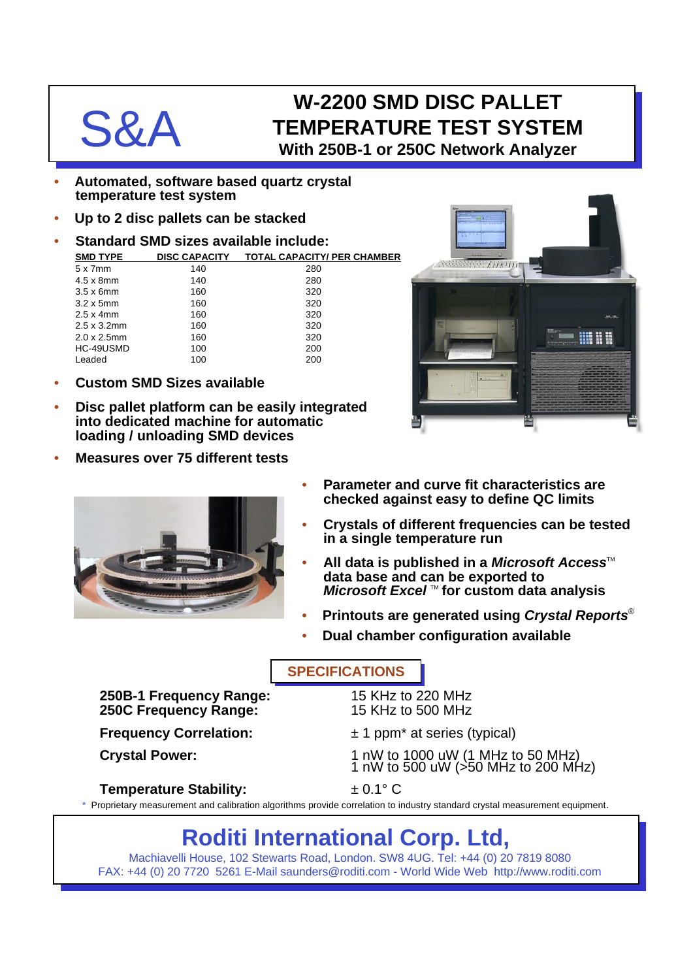## W-2200 SMD DISC PALLET<br> **S&A** TEMPERATURE TEST SYSTE<br>
With 250B-1 or 250C Network Analyz **TEMPERATURE TEST SYSTEM With 250B-1 or 250C Network Analyzer**

- **Automated, software based quartz crystal temperature test system**
- **Up to 2 disc pallets can be stacked**
- **Standard SMD sizes available include:**

| <b>SMD TYPE</b>     | <b>DISC CAPACITY</b> | <b>TOTAL CAPACITY/ PER CHAMBER</b> |
|---------------------|----------------------|------------------------------------|
| $5 \times 7$ mm     | 140                  | 280                                |
| $4.5 \times 8$ mm   | 140                  | 280                                |
| $3.5 \times 6$ mm   | 160                  | 320                                |
| $3.2 \times 5$ mm   | 160                  | 320                                |
| $2.5 \times 4$ mm   | 160                  | 320                                |
| $2.5 \times 3.2$ mm | 160                  | 320                                |
| $2.0 \times 2.5$ mm | 160                  | 320                                |
| HC-49USMD           | 100                  | 200                                |
| Leaded              | 100                  | 200                                |
|                     |                      |                                    |

- **Custom SMD Sizes available**
- **Disc pallet platform can be easily integrated into dedicated machine for automatic loading / unloading SMD devices**
- **Measures over 75 different tests**





- **Parameter and curve fit characteristics are checked against easy to define QC limits**
- **Crystals of different frequencies can be tested in a single temperature run**
- **All data is published in a** *Microsoft Access***<sup>™</sup> data base and can be exported to** *Microsoft Excel* ™ for custom data analysis
- **Printouts are generated using** *Crystal Reports*®
- **Dual chamber configuration available**

#### **SPECIFICATIONS**

**250B-1 Frequency Range:** 15 KHz to 220 MHz **250C Frequency Range:** 

- **Frequency Correlation:**  $\pm 1$  ppm<sup>\*</sup> at series (typical)
- Crystal Power: 1 nW to 1000 uW (1 MHz to 50 MHz) 1 nW to 500 uW (>50 MHz to 200 MHz)

### **Temperature Stability:** ± 0.1° C

\* Proprietary measurement and calibration algorithms provide correlation to industry standard crystal measurement equipment.

# **Roditi International Corp. Ltd,**

Machiavelli House, 102 Stewarts Road, London. SW8 4UG. Tel: +44 (0) 20 7819 8080 FAX: +44 (0) 20 7720 5261 E-Mail saunders@roditi.com - World Wide Web http://www.roditi.com